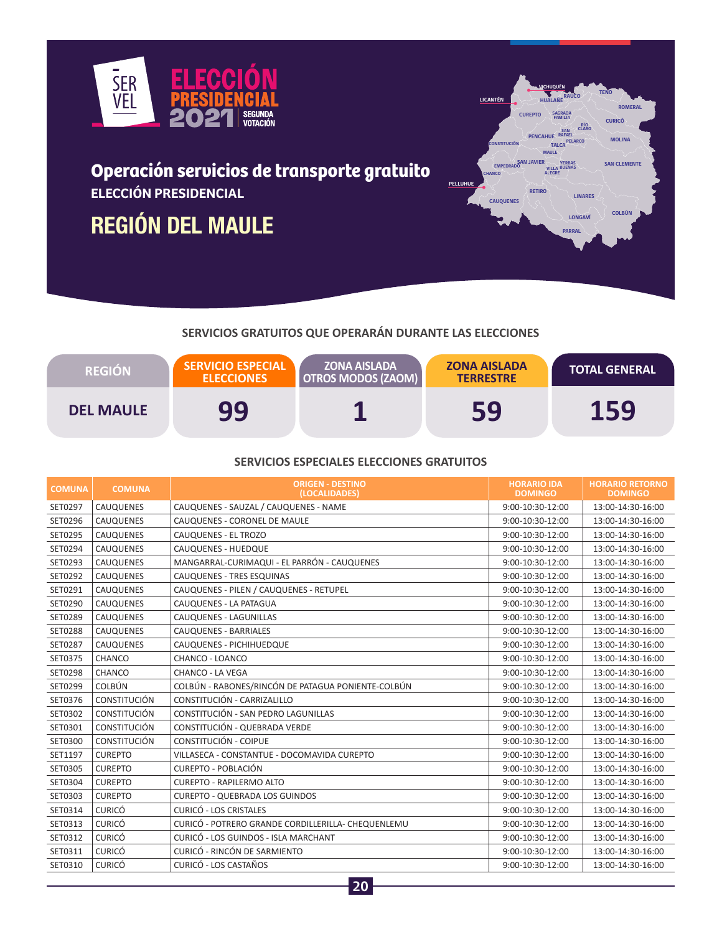

## **Operación servicios de transporte gratuito ELECCIÓN PRESIDENCIAL**

# **REGIÓN DEL MAULE**



### **SERVICIOS GRATUITOS QUE OPERARÁN DURANTE LAS ELECCIONES**

| <b>REGION</b>    | <b>SERVICIO ESPECIAL</b><br><b>ELECCIONES</b> | <b>ZONA AISLADA</b><br><b>OTROS MODOS (ZAOM)</b> | <b>ZONA AISLADA</b><br><b>TERRESTRE</b> | <b>TOTAL GENERAL</b> |
|------------------|-----------------------------------------------|--------------------------------------------------|-----------------------------------------|----------------------|
| <b>DEL MAULE</b> | 99                                            |                                                  | 59                                      | 159                  |

#### **SERVICIOS ESPECIALES ELECCIONES GRATUITOS**

| <b>COMUNA</b> | <b>COMUNA</b>       | <b>ORIGEN - DESTINO</b><br>(LOCALIDADES)           | <b>HORARIO IDA</b><br><b>DOMINGO</b> | <b>HORARIO RETORNO</b><br><b>DOMINGO</b> |
|---------------|---------------------|----------------------------------------------------|--------------------------------------|------------------------------------------|
| SET0297       | CAUQUENES           | CAUQUENES - SAUZAL / CAUQUENES - NAME              | 9:00-10:30-12:00                     | 13:00-14:30-16:00                        |
| SET0296       | <b>CAUQUENES</b>    | CAUQUENES - CORONEL DE MAULE                       | 9:00-10:30-12:00                     | 13:00-14:30-16:00                        |
| SET0295       | <b>CAUQUENES</b>    | CAUQUENES - EL TROZO                               | 9:00-10:30-12:00                     | 13:00-14:30-16:00                        |
| SET0294       | <b>CAUQUENES</b>    | CAUQUENES - HUEDQUE                                | 9:00-10:30-12:00                     | 13:00-14:30-16:00                        |
| SET0293       | <b>CAUQUENES</b>    | MANGARRAL-CURIMAQUI - EL PARRÓN - CAUQUENES        | 9:00-10:30-12:00                     | 13:00-14:30-16:00                        |
| SET0292       | CAUQUENES           | CAUQUENES - TRES ESQUINAS                          | 9:00-10:30-12:00                     | 13:00-14:30-16:00                        |
| SET0291       | <b>CAUQUENES</b>    | CAUQUENES - PILEN / CAUQUENES - RETUPEL            | 9:00-10:30-12:00                     | 13:00-14:30-16:00                        |
| SET0290       | CAUQUENES           | CAUQUENES - LA PATAGUA                             | 9:00-10:30-12:00                     | 13:00-14:30-16:00                        |
| SET0289       | <b>CAUQUENES</b>    | CAUQUENES - LAGUNILLAS                             | 9:00-10:30-12:00                     | 13:00-14:30-16:00                        |
| SET0288       | <b>CAUQUENES</b>    | CAUQUENES - BARRIALES                              | 9:00-10:30-12:00                     | 13:00-14:30-16:00                        |
| SET0287       | <b>CAUQUENES</b>    | CAUQUENES - PICHIHUEDQUE                           | 9:00-10:30-12:00                     | 13:00-14:30-16:00                        |
| SET0375       | CHANCO              | CHANCO - LOANCO                                    | 9:00-10:30-12:00                     | 13:00-14:30-16:00                        |
| SET0298       | CHANCO              | CHANCO - LA VEGA                                   | 9:00-10:30-12:00                     | 13:00-14:30-16:00                        |
| SET0299       | <b>COLBÚN</b>       | COLBÚN - RABONES/RINCÓN DE PATAGUA PONIENTE-COLBÚN | 9:00-10:30-12:00                     | 13:00-14:30-16:00                        |
| SET0376       | <b>CONSTITUCIÓN</b> | CONSTITUCIÓN - CARRIZALILLO                        | 9:00-10:30-12:00                     | 13:00-14:30-16:00                        |
| SET0302       | <b>CONSTITUCIÓN</b> | CONSTITUCIÓN - SAN PEDRO LAGUNILLAS                | 9:00-10:30-12:00                     | 13:00-14:30-16:00                        |
| SET0301       | <b>CONSTITUCIÓN</b> | CONSTITUCIÓN - QUEBRADA VERDE                      | 9:00-10:30-12:00                     | 13:00-14:30-16:00                        |
| SET0300       | <b>CONSTITUCIÓN</b> | CONSTITUCIÓN - COIPUE                              | 9:00-10:30-12:00                     | 13:00-14:30-16:00                        |
| SET1197       | <b>CUREPTO</b>      | VILLASECA - CONSTANTUE - DOCOMAVIDA CUREPTO        | 9:00-10:30-12:00                     | 13:00-14:30-16:00                        |
| SET0305       | <b>CUREPTO</b>      | CUREPTO - POBLACIÓN                                | 9:00-10:30-12:00                     | 13:00-14:30-16:00                        |
| SET0304       | <b>CUREPTO</b>      | <b>CUREPTO - RAPILERMO ALTO</b>                    | 9:00-10:30-12:00                     | 13:00-14:30-16:00                        |
| SET0303       | <b>CUREPTO</b>      | <b>CUREPTO - QUEBRADA LOS GUINDOS</b>              | 9:00-10:30-12:00                     | 13:00-14:30-16:00                        |
| SET0314       | <b>CURICÓ</b>       | CURICÓ - LOS CRISTALES                             | 9:00-10:30-12:00                     | 13:00-14:30-16:00                        |
| SET0313       | <b>CURICÓ</b>       | CURICÓ - POTRERO GRANDE CORDILLERILLA- CHEQUENLEMU | 9:00-10:30-12:00                     | 13:00-14:30-16:00                        |
| SET0312       | <b>CURICÓ</b>       | CURICÓ - LOS GUINDOS - ISLA MARCHANT               | 9:00-10:30-12:00                     | 13:00-14:30-16:00                        |
| SET0311       | <b>CURICÓ</b>       | CURICÓ - RINCÓN DE SARMIENTO                       | 9:00-10:30-12:00                     | 13:00-14:30-16:00                        |
| SET0310       | <b>CURICÓ</b>       | CURICÓ - LOS CASTAÑOS                              | 9:00-10:30-12:00                     | 13:00-14:30-16:00                        |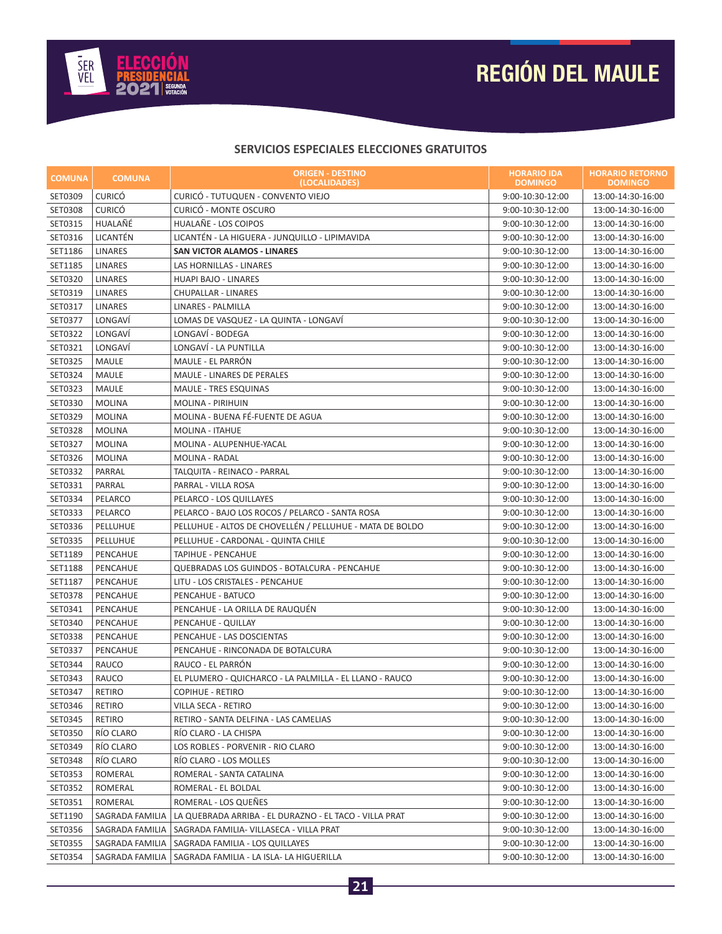

# **REGIÓN DEL MAULE**

#### **SERVICIOS ESPECIALES ELECCIONES GRATUITOS**

| <b>COMUNA</b>  | <b>COMUNA</b>   | <b>ORIGEN - DESTINO</b><br>(LOCALIDADES)                 | <b>HORARIO IDA</b><br><b>DOMINGO</b> | <b>HORARIO RETORNO</b><br><b>DOMINGO</b> |
|----------------|-----------------|----------------------------------------------------------|--------------------------------------|------------------------------------------|
| SET0309        | <b>CURICÓ</b>   | CURICÓ - TUTUQUEN - CONVENTO VIEJO                       | 9:00-10:30-12:00                     | 13:00-14:30-16:00                        |
| <b>SET0308</b> | <b>CURICÓ</b>   | CURICÓ - MONTE OSCURO                                    | $9:00-10:30-12:00$                   | 13:00-14:30-16:00                        |
| SET0315        | HUALAÑÉ         | HUALAÑE - LOS COIPOS                                     | 9:00-10:30-12:00                     | 13:00-14:30-16:00                        |
| SET0316        | LICANTÉN        | LICANTÉN - LA HIGUERA - JUNQUILLO - LIPIMAVIDA           | 9:00-10:30-12:00                     | 13:00-14:30-16:00                        |
| SET1186        | <b>LINARES</b>  | <b>SAN VICTOR ALAMOS - LINARES</b>                       | 9:00-10:30-12:00                     | 13:00-14:30-16:00                        |
| SET1185        | <b>LINARES</b>  | LAS HORNILLAS - LINARES                                  | 9:00-10:30-12:00                     | 13:00-14:30-16:00                        |
| SET0320        | <b>LINARES</b>  | HUAPI BAJO - LINARES                                     | 9:00-10:30-12:00                     | 13:00-14:30-16:00                        |
| SET0319        | <b>LINARES</b>  | CHUPALLAR - LINARES                                      | 9:00-10:30-12:00                     | 13:00-14:30-16:00                        |
| SET0317        | <b>LINARES</b>  | <b>LINARES - PALMILLA</b>                                | 9:00-10:30-12:00                     | 13:00-14:30-16:00                        |
| SET0377        | LONGAVI         | LOMAS DE VASQUEZ - LA QUINTA - LONGAVÍ                   | 9:00-10:30-12:00                     | 13:00-14:30-16:00                        |
| SET0322        | LONGAVI         | LONGAVÍ - BODEGA                                         | 9:00-10:30-12:00                     | 13:00-14:30-16:00                        |
| SET0321        | LONGAVÍ         | LONGAVÍ - LA PUNTILLA                                    | 9:00-10:30-12:00                     | 13:00-14:30-16:00                        |
| SET0325        | MAULE           | MAULE - EL PARRÓN                                        | 9:00-10:30-12:00                     | 13:00-14:30-16:00                        |
| SET0324        | MAULE           | <b>MAULE - LINARES DE PERALES</b>                        | 9:00-10:30-12:00                     | 13:00-14:30-16:00                        |
| SET0323        | MAULE           | <b>MAULE - TRES ESQUINAS</b>                             | 9:00-10:30-12:00                     | 13:00-14:30-16:00                        |
| SET0330        | <b>MOLINA</b>   | MOLINA - PIRIHUIN                                        | 9:00-10:30-12:00                     | 13:00-14:30-16:00                        |
| SET0329        | <b>MOLINA</b>   | MOLINA - BUENA FÉ-FUENTE DE AGUA                         | 9:00-10:30-12:00                     | 13:00-14:30-16:00                        |
| SET0328        | <b>MOLINA</b>   | <b>MOLINA - ITAHUE</b>                                   | 9:00-10:30-12:00                     | 13:00-14:30-16:00                        |
| SET0327        | <b>MOLINA</b>   | MOLINA - ALUPENHUE-YACAL                                 | 9:00-10:30-12:00                     | 13:00-14:30-16:00                        |
| SET0326        | <b>MOLINA</b>   | MOLINA - RADAL                                           | 9:00-10:30-12:00                     | 13:00-14:30-16:00                        |
| SET0332        | PARRAL          | TALQUITA - REINACO - PARRAL                              | 9:00-10:30-12:00                     | 13:00-14:30-16:00                        |
| SET0331        | PARRAL          | PARRAL - VILLA ROSA                                      | 9:00-10:30-12:00                     | 13:00-14:30-16:00                        |
| SET0334        | PELARCO         | PELARCO - LOS QUILLAYES                                  | 9:00-10:30-12:00                     | 13:00-14:30-16:00                        |
| SET0333        | PELARCO         | PELARCO - BAJO LOS ROCOS / PELARCO - SANTA ROSA          | 9:00-10:30-12:00                     | 13:00-14:30-16:00                        |
| SET0336        | PELLUHUE        | PELLUHUE - ALTOS DE CHOVELLÉN / PELLUHUE - MATA DE BOLDO | 9:00-10:30-12:00                     | 13:00-14:30-16:00                        |
| SET0335        | PELLUHUE        | PELLUHUE - CARDONAL - QUINTA CHILE                       | 9:00-10:30-12:00                     | 13:00-14:30-16:00                        |
| SET1189        | PENCAHUE        | TAPIHUE - PENCAHUE                                       | 9:00-10:30-12:00                     | 13:00-14:30-16:00                        |
| SET1188        | PENCAHUE        | QUEBRADAS LOS GUINDOS - BOTALCURA - PENCAHUE             | 9:00-10:30-12:00                     | 13:00-14:30-16:00                        |
| SET1187        | PENCAHUE        | LITU - LOS CRISTALES - PENCAHUE                          | 9:00-10:30-12:00                     | 13:00-14:30-16:00                        |
| SET0378        | PENCAHUE        | PENCAHUE - BATUCO                                        | 9:00-10:30-12:00                     | 13:00-14:30-16:00                        |
| SET0341        | PENCAHUE        | PENCAHUE - LA ORILLA DE RAUQUÉN                          | 9:00-10:30-12:00                     | 13:00-14:30-16:00                        |
| SET0340        | PENCAHUE        | PENCAHUE - QUILLAY                                       | 9:00-10:30-12:00                     | 13:00-14:30-16:00                        |
| SET0338        | PENCAHUE        | PENCAHUE - LAS DOSCIENTAS                                | 9:00-10:30-12:00                     | 13:00-14:30-16:00                        |
| SET0337        | PENCAHUE        | PENCAHUE - RINCONADA DE BOTALCURA                        | 9:00-10:30-12:00                     | 13:00-14:30-16:00                        |
| SET0344        | RAUCO           | RAUCO - EL PARRÓN                                        | 9:00-10:30-12:00                     | 13:00-14:30-16:00                        |
| SET0343        | RAUCO           | EL PLUMERO - QUICHARCO - LA PALMILLA - EL LLANO - RAUCO  | 9:00-10:30-12:00                     | 13:00-14:30-16:00                        |
| SET0347        | RETIRO          | <b>COPIHUE - RETIRO</b>                                  | 9:00-10:30-12:00                     | 13:00-14:30-16:00                        |
| SET0346        | RETIRO          | VILLA SECA - RETIRO                                      | 9:00-10:30-12:00                     | 13:00-14:30-16:00                        |
| SET0345        | RETIRO          | RETIRO - SANTA DELFINA - LAS CAMELIAS                    | 9:00-10:30-12:00                     | 13:00-14:30-16:00                        |
| SET0350        | RÍO CLARO       | RÍO CLARO - LA CHISPA                                    | 9:00-10:30-12:00                     | 13:00-14:30-16:00                        |
| SET0349        | RÍO CLARO       | LOS ROBLES - PORVENIR - RIO CLARO                        | 9:00-10:30-12:00                     | 13:00-14:30-16:00                        |
| SET0348        | RÍO CLARO       | RÍO CLARO - LOS MOLLES                                   | 9:00-10:30-12:00                     | 13:00-14:30-16:00                        |
| SET0353        | ROMERAL         | ROMERAL - SANTA CATALINA                                 | 9:00-10:30-12:00                     | 13:00-14:30-16:00                        |
| SET0352        | ROMERAL         | ROMERAL - EL BOLDAL                                      | 9:00-10:30-12:00                     | 13:00-14:30-16:00                        |
| SET0351        | ROMERAL         | ROMERAL - LOS QUEÑES                                     | 9:00-10:30-12:00                     | 13:00-14:30-16:00                        |
| SET1190        | SAGRADA FAMILIA | LA QUEBRADA ARRIBA - EL DURAZNO - EL TACO - VILLA PRAT   | 9:00-10:30-12:00                     | 13:00-14:30-16:00                        |
| SET0356        | SAGRADA FAMILIA | SAGRADA FAMILIA- VILLASECA - VILLA PRAT                  | 9:00-10:30-12:00                     | 13:00-14:30-16:00                        |
| SET0355        | SAGRADA FAMILIA | SAGRADA FAMILIA - LOS QUILLAYES                          | 9:00-10:30-12:00                     | 13:00-14:30-16:00                        |
| SET0354        | SAGRADA FAMILIA | SAGRADA FAMILIA - LA ISLA- LA HIGUERILLA                 | 9:00-10:30-12:00                     | 13:00-14:30-16:00                        |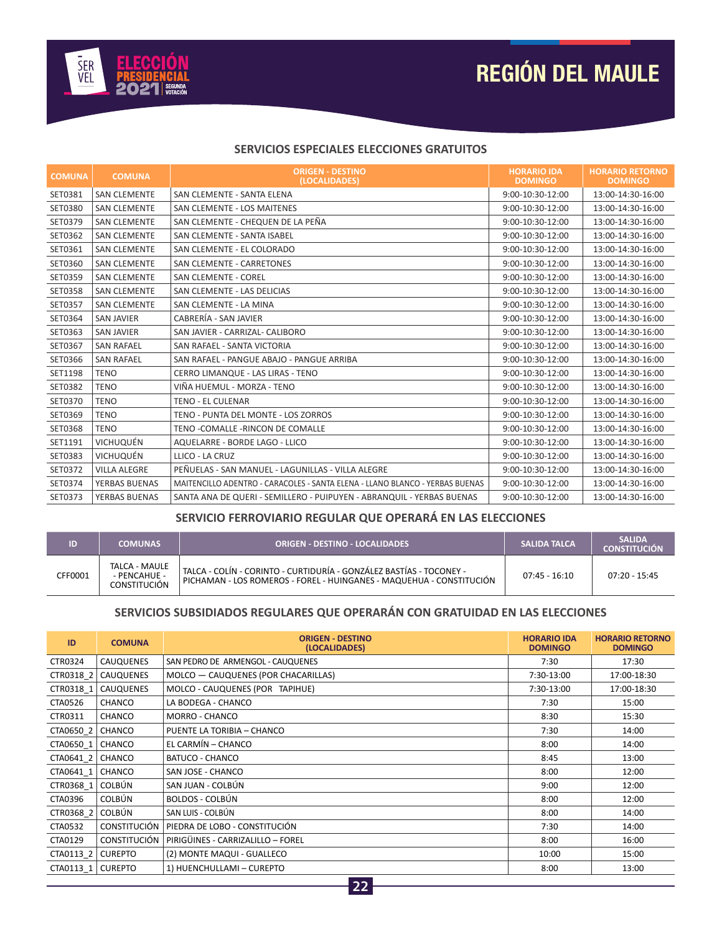

# **REGIÓN DEL MAULE**

#### **SERVICIOS ESPECIALES ELECCIONES GRATUITOS**

| <b>COMUNA</b> | <b>COMUNA</b>       | <b>ORIGEN - DESTINO</b><br>(LOCALIDADES)                                     | <b>HORARIO IDA</b><br><b>DOMINGO</b> | <b>HORARIO RETORNO</b><br><b>DOMINGO</b> |
|---------------|---------------------|------------------------------------------------------------------------------|--------------------------------------|------------------------------------------|
| SET0381       | <b>SAN CLEMENTE</b> | SAN CLEMENTE - SANTA ELENA                                                   | 9:00-10:30-12:00                     | 13:00-14:30-16:00                        |
| SET0380       | <b>SAN CLEMENTE</b> | SAN CLEMENTE - LOS MAITENES                                                  | 9:00-10:30-12:00                     | 13:00-14:30-16:00                        |
| SET0379       | <b>SAN CLEMENTE</b> | SAN CLEMENTE - CHEQUEN DE LA PEÑA                                            | 9:00-10:30-12:00                     | 13:00-14:30-16:00                        |
| SET0362       | <b>SAN CLEMENTE</b> | SAN CLEMENTE - SANTA ISABEL                                                  | 9:00-10:30-12:00                     | 13:00-14:30-16:00                        |
| SET0361       | <b>SAN CLEMENTE</b> | SAN CLEMENTE - EL COLORADO                                                   | 9:00-10:30-12:00                     | 13:00-14:30-16:00                        |
| SET0360       | <b>SAN CLEMENTE</b> | SAN CLEMENTE - CARRETONES                                                    | 9:00-10:30-12:00                     | 13:00-14:30-16:00                        |
| SET0359       | <b>SAN CLEMENTE</b> | <b>SAN CLEMENTE - COREL</b>                                                  | 9:00-10:30-12:00                     | 13:00-14:30-16:00                        |
| SET0358       | <b>SAN CLEMENTE</b> | SAN CLEMENTE - LAS DELICIAS                                                  | 9:00-10:30-12:00                     | 13:00-14:30-16:00                        |
| SET0357       | <b>SAN CLEMENTE</b> | SAN CLEMENTE - LA MINA                                                       | 9:00-10:30-12:00                     | 13:00-14:30-16:00                        |
| SET0364       | <b>SAN JAVIER</b>   | CABRERÍA - SAN JAVIER                                                        | 9:00-10:30-12:00                     | 13:00-14:30-16:00                        |
| SET0363       | <b>SAN JAVIER</b>   | SAN JAVIER - CARRIZAL- CALIBORO                                              | 9:00-10:30-12:00                     | 13:00-14:30-16:00                        |
| SET0367       | <b>SAN RAFAEL</b>   | SAN RAFAEL - SANTA VICTORIA                                                  | 9:00-10:30-12:00                     | 13:00-14:30-16:00                        |
| SET0366       | <b>SAN RAFAEL</b>   | SAN RAFAEL - PANGUE ABAJO - PANGUE ARRIBA                                    | 9:00-10:30-12:00                     | 13:00-14:30-16:00                        |
| SET1198       | <b>TENO</b>         | CERRO LIMANQUE - LAS LIRAS - TENO                                            | 9:00-10:30-12:00                     | 13:00-14:30-16:00                        |
| SET0382       | <b>TENO</b>         | VIÑA HUEMUL - MORZA - TENO                                                   | 9:00-10:30-12:00                     | 13:00-14:30-16:00                        |
| SET0370       | <b>TENO</b>         | <b>TENO - EL CULENAR</b>                                                     | 9:00-10:30-12:00                     | 13:00-14:30-16:00                        |
| SET0369       | <b>TENO</b>         | TENO - PUNTA DEL MONTE - LOS ZORROS                                          | 9:00-10:30-12:00                     | 13:00-14:30-16:00                        |
| SET0368       | <b>TENO</b>         | TENO -COMALLE -RINCON DE COMALLE                                             | 9:00-10:30-12:00                     | 13:00-14:30-16:00                        |
| SET1191       | VICHUQUÉN           | AQUELARRE - BORDE LAGO - LLICO                                               | 9:00-10:30-12:00                     | 13:00-14:30-16:00                        |
| SET0383       | <b>VICHUQUÉN</b>    | LLICO - LA CRUZ                                                              | 9:00-10:30-12:00                     | 13:00-14:30-16:00                        |
| SET0372       | <b>VILLA ALEGRE</b> | PEÑUELAS - SAN MANUEL - LAGUNILLAS - VILLA ALEGRE                            | 9:00-10:30-12:00                     | 13:00-14:30-16:00                        |
| SET0374       | YERBAS BUENAS       | MAITENCILLO ADENTRO - CARACOLES - SANTA ELENA - LLANO BLANCO - YERBAS BUENAS | 9:00-10:30-12:00                     | 13:00-14:30-16:00                        |
| SET0373       | YERBAS BUENAS       | SANTA ANA DE QUERI - SEMILLERO - PUIPUYEN - ABRANQUIL - YERBAS BUENAS        | 9:00-10:30-12:00                     | 13:00-14:30-16:00                        |

### **SERVICIO FERROVIARIO REGULAR QUE OPERARÁ EN LAS ELECCIONES**

|         | <b>COMUNAS</b>                                       | <b>ORIGEN - DESTINO - LOCALIDADES</b>                                                                                                       | <b>SALIDA TALCA</b> | <b>SALIDA</b><br><b>CONSTITUCIÓN</b> |
|---------|------------------------------------------------------|---------------------------------------------------------------------------------------------------------------------------------------------|---------------------|--------------------------------------|
| CFF0001 | TALCA - MAULE<br>- PENCAHUE -<br><b>CONSTITUCIÓN</b> | TALCA - COLÍN - CORINTO - CURTIDURÍA - GONZÁLEZ BASTÍAS - TOCONEY -<br>PICHAMAN - LOS ROMEROS - FOREL - HUINGANES - MAQUEHUA - CONSTITUCIÓN | $07:45 - 16:10$     | $07:20 - 15:45$                      |

### **SERVICIOS SUBSIDIADOS REGULARES QUE OPERARÁN CON GRATUIDAD EN LAS ELECCIONES**

| ID                 | <b>COMUNA</b>       | <b>ORIGEN - DESTINO</b><br>(LOCALIDADES) | <b>HORARIO IDA</b><br><b>DOMINGO</b> | <b>HORARIO RETORNO</b><br><b>DOMINGO</b> |
|--------------------|---------------------|------------------------------------------|--------------------------------------|------------------------------------------|
| CTR0324            | <b>CAUQUENES</b>    | SAN PEDRO DE ARMENGOL - CAUQUENES        | 7:30                                 | 17:30                                    |
|                    | CTR0318 2 CAUQUENES | MOLCO - CAUQUENES (POR CHACARILLAS)      | 7:30-13:00                           | 17:00-18:30                              |
| CTR0318 1          | CAUQUENES           | MOLCO - CAUQUENES (POR TAPIHUE)          | 7:30-13:00                           | 17:00-18:30                              |
| CTA0526            | CHANCO              | LA BODEGA - CHANCO                       | 7:30                                 | 15:00                                    |
| CTR0311            | CHANCO              | MORRO - CHANCO                           | 8:30                                 | 15:30                                    |
| CTA0650 2   CHANCO |                     | PUENTE LA TORIBIA - CHANCO               | 7:30                                 | 14:00                                    |
| CTA0650 1   CHANCO |                     | EL CARMÍN - CHANCO                       | 8:00                                 | 14:00                                    |
| CTA0641_2   CHANCO |                     | <b>BATUCO - CHANCO</b>                   | 8:45                                 | 13:00                                    |
| CTA0641_1   CHANCO |                     | SAN JOSE - CHANCO                        | 8:00                                 | 12:00                                    |
| CTR0368 1 COLBÚN   |                     | SAN JUAN - COLBÚN                        | 9:00                                 | 12:00                                    |
| CTA0396            | <b>COLBÚN</b>       | <b>BOLDOS - COLBÚN</b>                   | 8:00                                 | 12:00                                    |
| CTR0368_2   COLBÚN |                     | SAN LUIS - COLBÚN                        | 8:00                                 | 14:00                                    |
| CTA0532            | <b>CONSTITUCIÓN</b> | PIEDRA DE LOBO - CONSTITUCIÓN            | 7:30                                 | 14:00                                    |
| CTA0129            | <b>CONSTITUCIÓN</b> | PIRIGÜINES - CARRIZALILLO - FOREL        | 8:00                                 | 16:00                                    |
| CTA0113 2          | <b>CUREPTO</b>      | (2) MONTE MAQUI - GUALLECO               | 10:00                                | 15:00                                    |
| CTA0113 1          | <b>CUREPTO</b>      | 1) HUENCHULLAMI - CUREPTO                | 8:00                                 | 13:00                                    |